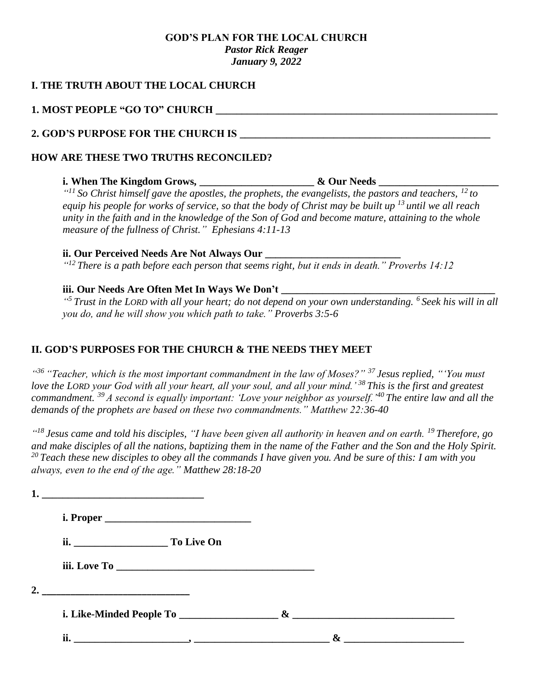## **GOD'S PLAN FOR THE LOCAL CHURCH** *Pastor Rick Reager January 9, 2022*

## **I. THE TRUTH ABOUT THE LOCAL CHURCH**

## **1. MOST PEOPLE "GO TO" CHURCH \_\_\_\_\_\_\_\_\_\_\_\_\_\_\_\_\_\_\_\_\_\_\_\_\_\_\_\_\_\_\_\_\_\_\_\_\_\_\_\_\_\_\_\_\_\_\_\_\_\_\_\_\_\_**

**1.**  $\blacksquare$ 

## **2. GOD'S PURPOSE FOR THE CHURCH IS \_\_\_\_\_\_\_\_\_\_\_\_\_\_\_\_\_\_\_\_\_\_\_\_\_\_\_\_\_\_\_\_\_\_\_\_\_\_\_\_\_\_\_\_\_\_\_\_**

## **HOW ARE THESE TWO TRUTHS RECONCILED?**

## **i.** When The Kingdom Grows, \_\_\_\_\_\_\_\_\_\_\_\_\_\_\_\_\_\_\_\_\_\_\_& Our Needs \_\_\_\_\_\_\_\_\_\_\_\_\_\_\_\_\_

*" <sup>11</sup> So Christ himself gave the apostles, the prophets, the evangelists, the pastors and teachers, <sup>12</sup> to equip his people for works of service, so that the body of Christ may be built up <sup>13</sup> until we all reach unity in the faith and in the knowledge of the Son of God and become mature, attaining to the whole measure of the fullness of Christ." Ephesians 4:11-13*

### **ii. Our Perceived Needs Are Not Always Our**

*" <sup>12</sup> There is a path before each person that seems right, but it ends in death." Proverbs 14:12*

## **iii. Our Needs Are Often Met In Ways We Don't**

*" <sup>5</sup> Trust in the LORD with all your heart; do not depend on your own understanding. <sup>6</sup> Seek his will in all you do, and he will show you which path to take." Proverbs 3:5-6*

## **II. GOD'S PURPOSES FOR THE CHURCH & THE NEEDS THEY MEET**

*" <sup>36</sup> "Teacher, which is the most important commandment in the law of Moses?" <sup>37</sup> Jesus replied, "'You must love the LORD your God with all your heart, all your soul, and all your mind.' <sup>38</sup> This is the first and greatest commandment. <sup>39</sup> A second is equally important: 'Love your neighbor as yourself.'<sup>40</sup> The entire law and all the demands of the prophets are based on these two commandments." Matthew 22:36-40*

*" <sup>18</sup> Jesus came and told his disciples, "I have been given all authority in heaven and on earth. <sup>19</sup> Therefore, go and make disciples of all the nations, baptizing them in the name of the Father and the Son and the Holy Spirit. <sup>20</sup> Teach these new disciples to obey all the commands I have given you. And be sure of this: I am with you always, even to the end of the age." Matthew 28:18-20*

|    | ii. To Live On                                                                                                        |   |  |
|----|-----------------------------------------------------------------------------------------------------------------------|---|--|
|    |                                                                                                                       |   |  |
| 2. | <u> 1989 - Johann John Stone, markin film yn y breninnas yn y breninnas y breninnas y breninnas y breninnas y bre</u> |   |  |
|    |                                                                                                                       |   |  |
|    | ii.                                                                                                                   | & |  |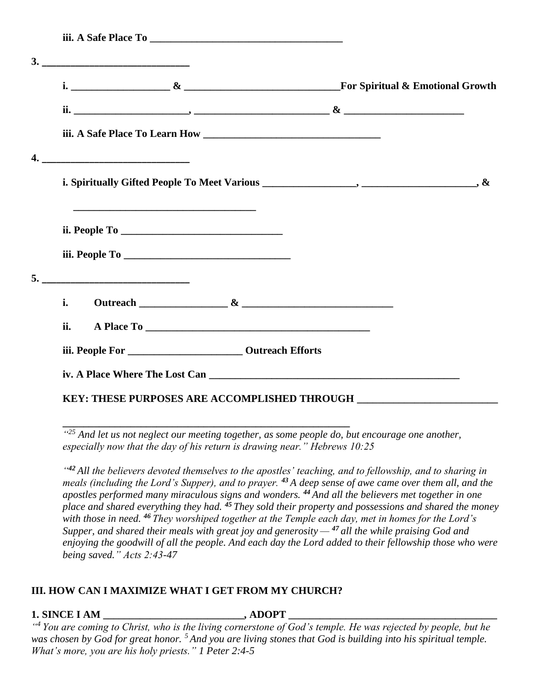| i.  |  |  |
|-----|--|--|
| ii. |  |  |
|     |  |  |

*" <sup>25</sup> And let us not neglect our meeting together, as some people do, but encourage one another, especially now that the day of his return is drawing near." Hebrews 10:25*

*" <sup>42</sup> All the believers devoted themselves to the apostles' teaching, and to fellowship, and to sharing in meals (including the Lord's Supper), and to prayer. <sup>43</sup> A deep sense of awe came over them all, and the apostles performed many miraculous signs and wonders. <sup>44</sup> And all the believers met together in one place and shared everything they had. <sup>45</sup> They sold their property and possessions and shared the money with those in need. <sup>46</sup> They worshiped together at the Temple each day, met in homes for the Lord's Supper, and shared their meals with great joy and generosity — <sup>47</sup> all the while praising God and enjoying the goodwill of all the people. And each day the Lord added to their fellowship those who were being saved." Acts 2:43-47*

# **III. HOW CAN I MAXIMIZE WHAT I GET FROM MY CHURCH?**

**\_\_\_\_\_\_\_\_\_\_\_\_\_\_\_\_\_\_\_\_\_\_\_\_\_\_\_\_\_\_\_\_\_\_\_\_\_\_\_\_\_\_\_\_\_\_\_\_\_\_\_\_\_\_\_**

# **1. SINCE I AM**  . ADOPT

*" <sup>4</sup> You are coming to Christ, who is the living cornerstone of God's temple. He was rejected by people, but he was chosen by God for great honor. <sup>5</sup> And you are living stones that God is building into his spiritual temple. What's more, you are his holy priests." 1 Peter 2:4-5*